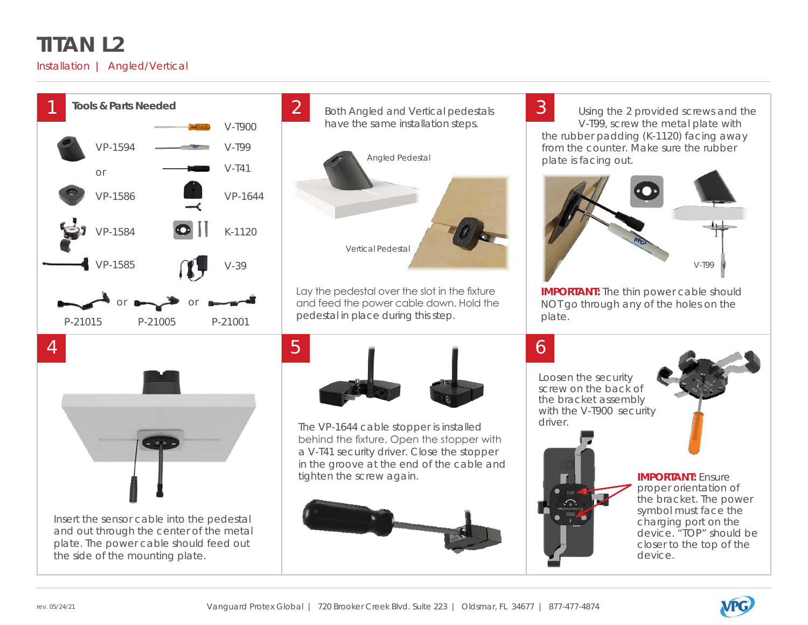### **TITAN L2**

#### Installation | Angled/Vertical



Insert the sensor cable into the pedestal and out through the center of the metal plate. The power cable should feed out

the side of the mounting plate.





Lay the pedestal over the slot in the fixture and feed the power cable down. Hold the pedestal in place during this step.



The VP-1644 cable stopper is installed behind the fixture. Open the stopper with a V-T41 security driver. Close the stopper in the groove at the end of the cable and tighten the screw again.



Using the 2 provided screws and the V-T99, screw the metal plate with the rubber padding (K-1120) facing away from the counter. Make sure the rubber plate is facing out.



**IMPORTANT:** The thin power cable should NOT go through any of the holes on the plate.

Loosen the security screw on the back of the bracket assembly with the V-T900 security driver.

# **IMPORTANT:** Ensure

proper orientation of the bracket. The power symbol must face the charging port on the device. "TOP" should be closer to the top of the device.

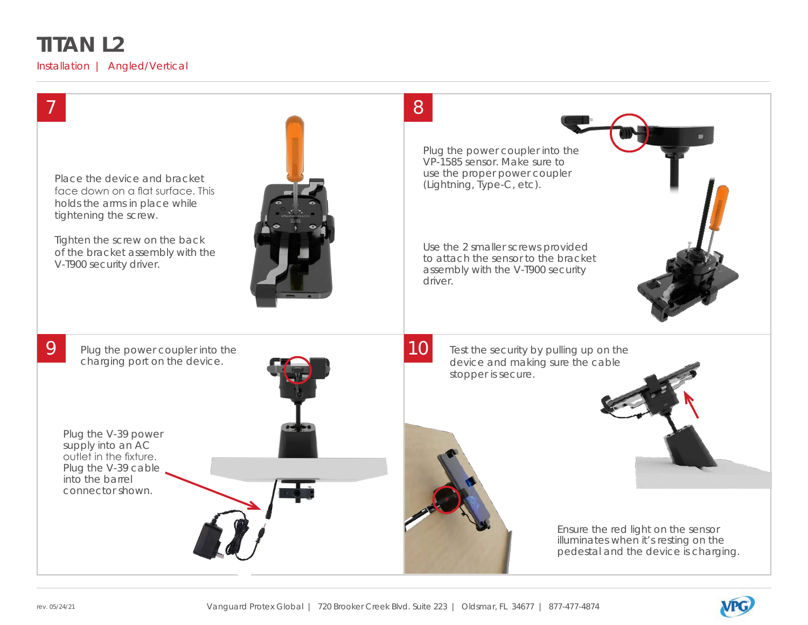## **TITAN L2**

Installation | Angled/Vertical



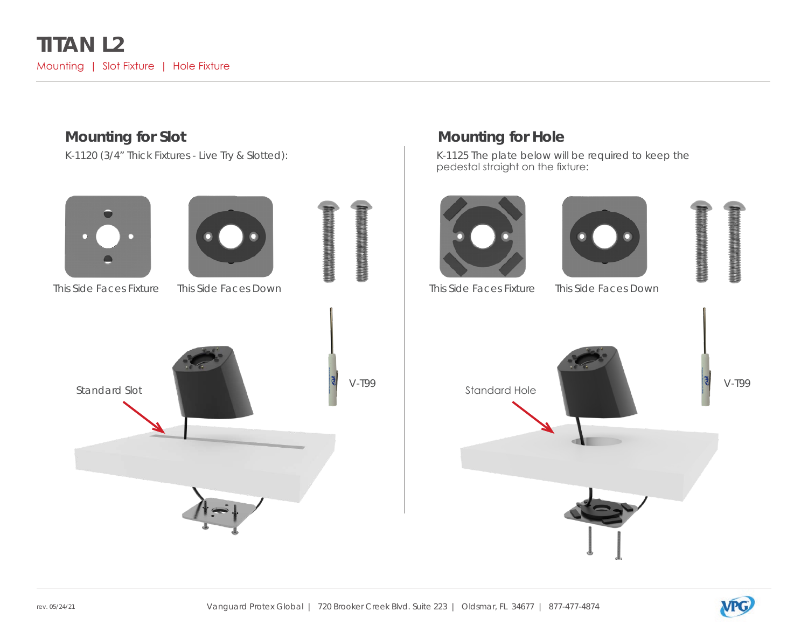

#### **Mounting for Slot Mounting for Hole**

K-1120 (3/4" Thick Fixtures - Live Try & Slotted): Noting the Most Canada K-1125 The plate below will be required to keep the  $\,$ pedestal straight on the fixture:







This Side Faces Fixture This Side Faces Down